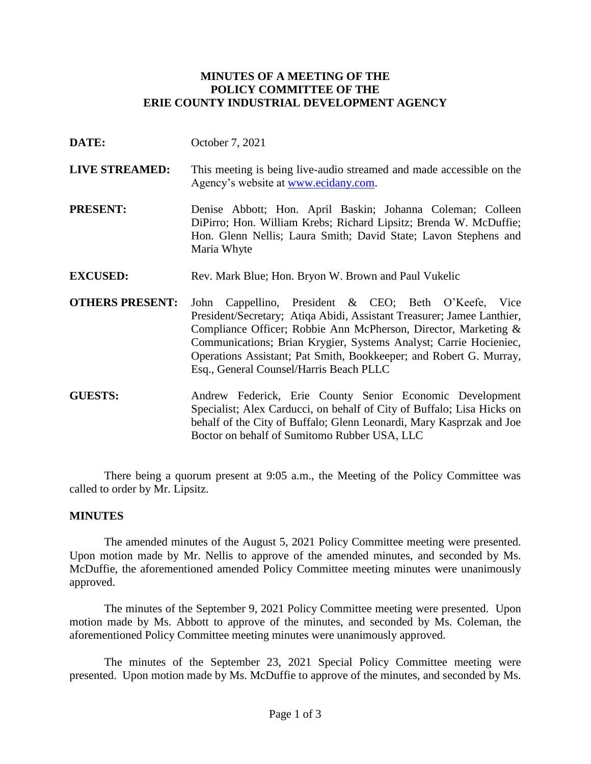## **MINUTES OF A MEETING OF THE POLICY COMMITTEE OF THE ERIE COUNTY INDUSTRIAL DEVELOPMENT AGENCY**

- **DATE:** October 7, 2021
- **LIVE STREAMED:** This meeting is being live-audio streamed and made accessible on the Agency's website at [www.ecidany.com.](http://www.ecidany.com/)
- **PRESENT:** Denise Abbott; Hon. April Baskin; Johanna Coleman; Colleen DiPirro; Hon. William Krebs; Richard Lipsitz; Brenda W. McDuffie; Hon. Glenn Nellis; Laura Smith; David State; Lavon Stephens and Maria Whyte
- **EXCUSED:** Rev. Mark Blue; Hon. Bryon W. Brown and Paul Vukelic
- **OTHERS PRESENT:** John Cappellino, President & CEO; Beth O'Keefe, Vice President/Secretary; Atiqa Abidi, Assistant Treasurer; Jamee Lanthier, Compliance Officer; Robbie Ann McPherson, Director, Marketing & Communications; Brian Krygier, Systems Analyst; Carrie Hocieniec, Operations Assistant; Pat Smith, Bookkeeper; and Robert G. Murray, Esq., General Counsel/Harris Beach PLLC
- **GUESTS:** Andrew Federick, Erie County Senior Economic Development Specialist; Alex Carducci, on behalf of City of Buffalo; Lisa Hicks on behalf of the City of Buffalo; Glenn Leonardi, Mary Kasprzak and Joe Boctor on behalf of Sumitomo Rubber USA, LLC

There being a quorum present at 9:05 a.m., the Meeting of the Policy Committee was called to order by Mr. Lipsitz.

### **MINUTES**

The amended minutes of the August 5, 2021 Policy Committee meeting were presented. Upon motion made by Mr. Nellis to approve of the amended minutes, and seconded by Ms. McDuffie, the aforementioned amended Policy Committee meeting minutes were unanimously approved.

The minutes of the September 9, 2021 Policy Committee meeting were presented. Upon motion made by Ms. Abbott to approve of the minutes, and seconded by Ms. Coleman, the aforementioned Policy Committee meeting minutes were unanimously approved.

The minutes of the September 23, 2021 Special Policy Committee meeting were presented. Upon motion made by Ms. McDuffie to approve of the minutes, and seconded by Ms.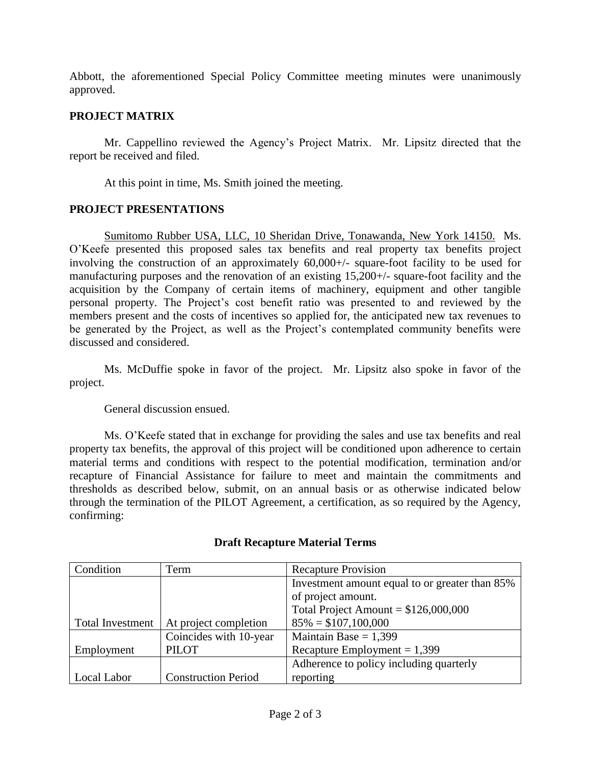Abbott, the aforementioned Special Policy Committee meeting minutes were unanimously approved.

# **PROJECT MATRIX**

Mr. Cappellino reviewed the Agency's Project Matrix. Mr. Lipsitz directed that the report be received and filed.

At this point in time, Ms. Smith joined the meeting.

# **PROJECT PRESENTATIONS**

Sumitomo Rubber USA, LLC, 10 Sheridan Drive, Tonawanda, New York 14150. Ms. O'Keefe presented this proposed sales tax benefits and real property tax benefits project involving the construction of an approximately 60,000+/- square-foot facility to be used for manufacturing purposes and the renovation of an existing 15,200+/- square-foot facility and the acquisition by the Company of certain items of machinery, equipment and other tangible personal property. The Project's cost benefit ratio was presented to and reviewed by the members present and the costs of incentives so applied for, the anticipated new tax revenues to be generated by the Project, as well as the Project's contemplated community benefits were discussed and considered.

Ms. McDuffie spoke in favor of the project. Mr. Lipsitz also spoke in favor of the project.

General discussion ensued.

Ms. O'Keefe stated that in exchange for providing the sales and use tax benefits and real property tax benefits, the approval of this project will be conditioned upon adherence to certain material terms and conditions with respect to the potential modification, termination and/or recapture of Financial Assistance for failure to meet and maintain the commitments and thresholds as described below, submit, on an annual basis or as otherwise indicated below through the termination of the PILOT Agreement, a certification, as so required by the Agency, confirming:

| Condition               | Term                       | <b>Recapture Provision</b>                     |
|-------------------------|----------------------------|------------------------------------------------|
|                         |                            | Investment amount equal to or greater than 85% |
|                         |                            | of project amount.                             |
|                         |                            | Total Project Amount = $$126,000,000$          |
| <b>Total Investment</b> | At project completion      | $85\% = $107,100,000$                          |
|                         | Coincides with 10-year     | Maintain Base = $1,399$                        |
| Employment              | <b>PILOT</b>               | Recapture Employment = $1,399$                 |
|                         |                            | Adherence to policy including quarterly        |
| Local Labor             | <b>Construction Period</b> | reporting                                      |

## **Draft Recapture Material Terms**